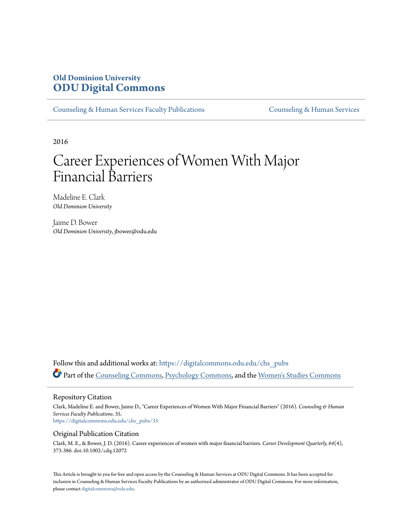# **Old Dominion University [ODU Digital Commons](https://digitalcommons.odu.edu?utm_source=digitalcommons.odu.edu%2Fchs_pubs%2F35&utm_medium=PDF&utm_campaign=PDFCoverPages)**

[Counseling & Human Services Faculty Publications](https://digitalcommons.odu.edu/chs_pubs?utm_source=digitalcommons.odu.edu%2Fchs_pubs%2F35&utm_medium=PDF&utm_campaign=PDFCoverPages) [Counseling & Human Services](https://digitalcommons.odu.edu/chs?utm_source=digitalcommons.odu.edu%2Fchs_pubs%2F35&utm_medium=PDF&utm_campaign=PDFCoverPages)

2016

# Career Experiences of Women With Major Financial Barriers

Madeline E. Clark *Old Dominion University*

Jaime D. Bower *Old Dominion University*, jbower@odu.edu

Follow this and additional works at: [https://digitalcommons.odu.edu/chs\\_pubs](https://digitalcommons.odu.edu/chs_pubs?utm_source=digitalcommons.odu.edu%2Fchs_pubs%2F35&utm_medium=PDF&utm_campaign=PDFCoverPages) Part of the [Counseling Commons](http://network.bepress.com/hgg/discipline/1268?utm_source=digitalcommons.odu.edu%2Fchs_pubs%2F35&utm_medium=PDF&utm_campaign=PDFCoverPages), [Psychology Commons,](http://network.bepress.com/hgg/discipline/404?utm_source=digitalcommons.odu.edu%2Fchs_pubs%2F35&utm_medium=PDF&utm_campaign=PDFCoverPages) and the [Women's Studies Commons](http://network.bepress.com/hgg/discipline/561?utm_source=digitalcommons.odu.edu%2Fchs_pubs%2F35&utm_medium=PDF&utm_campaign=PDFCoverPages)

Repository Citation

Clark, Madeline E. and Bower, Jaime D., "Career Experiences of Women With Major Financial Barriers" (2016). *Counseling & Human Services Faculty Publications*. 35. [https://digitalcommons.odu.edu/chs\\_pubs/35](https://digitalcommons.odu.edu/chs_pubs/35?utm_source=digitalcommons.odu.edu%2Fchs_pubs%2F35&utm_medium=PDF&utm_campaign=PDFCoverPages)

#### Original Publication Citation

Clark, M. E., & Bower, J. D. (2016). Career experiences of women with major financial barriers. *Career Development Quarterly, 64*(4), 373-386. doi:10.1002/cdq.12072

This Article is brought to you for free and open access by the Counseling & Human Services at ODU Digital Commons. It has been accepted for inclusion in Counseling & Human Services Faculty Publications by an authorized administrator of ODU Digital Commons. For more information, please contact [digitalcommons@odu.edu](mailto:digitalcommons@odu.edu).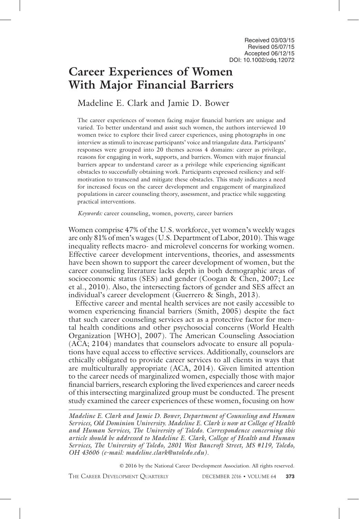# **Career Experiences of Women With Major Financial Barriers**

Madeline E. Clark and Jamie D. Bower

The career experiences of women facing major financial barriers are unique and varied. To better understand and assist such women, the authors interviewed 10 women twice to explore their lived career experiences, using photographs in one interview as stimuli to increase participants' voice and triangulate data. Participants' responses were grouped into 20 themes across 4 domains: career as privilege, reasons for engaging in work, supports, and barriers. Women with major financial barriers appear to understand career as a privilege while experiencing significant obstacles to successfully obtaining work. Participants expressed resiliency and selfmotivation to transcend and mitigate these obstacles. This study indicates a need for increased focus on the career development and engagement of marginalized populations in career counseling theory, assessment, and practice while suggesting practical interventions.

*Keywords:* career counseling, women, poverty, career barriers

Women comprise 47% of the U.S. workforce, yet women's weekly wages are only 81% of men's wages (U.S. Department of Labor, 2010). This wage inequality reflects macro- and microlevel concerns for working women. Effective career development interventions, theories, and assessments have been shown to support the career development of women, but the career counseling literature lacks depth in both demographic areas of socioeconomic status (SES) and gender (Coogan & Chen, 2007; Lee et al., 2010). Also, the intersecting factors of gender and SES affect an individual's career development (Guerrero & Singh, 2013).

Effective career and mental health services are not easily accessible to women experiencing financial barriers (Smith, 2005) despite the fact that such career counseling services act as a protective factor for mental health conditions and other psychosocial concerns (World Health Organization [WHO], 2007). The American Counseling Association (ACA; 2104) mandates that counselors advocate to ensure all populations have equal access to effective services. Additionally, counselors are ethically obligated to provide career services to all clients in ways that are multiculturally appropriate (ACA, 2014). Given limited attention to the career needs of marginalized women, especially those with major financial barriers, research exploring the lived experiences and career needs of this intersecting marginalized group must be conducted. The present study examined the career experiences of these women, focusing on how

*Madeline E. Clark and Jamie D. Bower, Department of Counseling and Human Services, Old Dominion University. Madeline E. Clark is now at College of Health and Human Services, The University of Toledo. Correspondence concerning this article should be addressed to Madeline E. Clark, College of Health and Human Services, The University of Toledo, 2801 West Bancroft Street, MS #119, Toledo, OH 43606 (e-mail: madeline.clark@utoledo.edu).* 

© 2016 by the National Career Development Association. All rights reserved.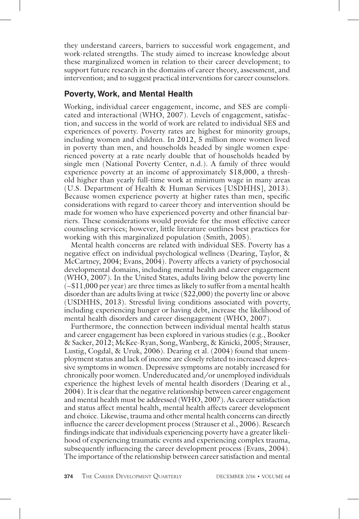they understand careers, barriers to successful work engagement, and work-related strengths. The study aimed to increase knowledge about these marginalized women in relation to their career development; to support future research in the domains of career theory, assessment, and intervention; and to suggest practical interventions for career counselors.

# **Poverty, Work, and Mental Health**

Working, individual career engagement, income, and SES are complicated and interactional (WHO, 2007). Levels of engagement, satisfaction, and success in the world of work are related to individual SES and experiences of poverty. Poverty rates are highest for minority groups, including women and children. In 2012, 5 million more women lived in poverty than men, and households headed by single women experienced poverty at a rate nearly double that of households headed by single men (National Poverty Center, n.d.). A family of three would experience poverty at an income of approximately \$18,000, a threshold higher than yearly full-time work at minimum wage in many areas (U.S. Department of Health & Human Services [USDHHS], 2013). Because women experience poverty at higher rates than men, specific considerations with regard to career theory and intervention should be made for women who have experienced poverty and other financial barriers. These considerations would provide for the most effective career counseling services; however, little literature outlines best practices for working with this marginalized population (Smith, 2005).

Mental health concerns are related with individual SES. Poverty has a negative effect on individual psychological wellness (Dearing, Taylor, & McCartney, 2004; Evans, 2004). Poverty affects a variety of psychosocial developmental domains, including mental health and career engagement (WHO, 2007). In the United States, adults living below the poverty line  $(-1, 000)$  per year) are three times as likely to suffer from a mental health disorder than are adults living at twice (\$22,000) the poverty line or above (USDHHS, 2013). Stressful living conditions associated with poverty, including experiencing hunger or having debt, increase the likelihood of mental health disorders and career disengagement (WHO, 2007).

Furthermore, the connection between individual mental health status and career engagement has been explored in various studies (e.g., Booker & Sacker, 2012; McKee-Ryan, Song, Wanberg, & Kinicki, 2005; Strauser, Lustig, Cogdal, & Uruk, 2006). Dearing et al. (2004) found that unemployment status and lack of income are closely related to increased depressive symptoms in women. Depressive symptoms are notably increased for chronically poor women. Undereducated and/or unemployed individuals experience the highest levels of mental health disorders (Dearing et al., 2004). It is clear that the negative relationship between career engagement and mental health must be addressed (WHO, 2007). As career satisfaction and status affect mental health, mental health affects career development and choice. Likewise, trauma and other mental health concerns can directly influence the career development process (Strauser et al., 2006). Research findings indicate that individuals experiencing poverty have a greater likelihood of experiencing traumatic events and experiencing complex trauma, subsequently influencing the career development process (Evans, 2004). The importance of the relationship between career satisfaction and mental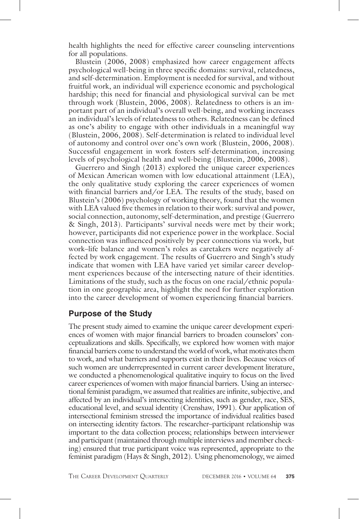health highlights the need for effective career counseling interventions for all populations.

Blustein (2006, 2008) emphasized how career engagement affects psychological well-being in three specific domains: survival, relatedness, and self-determination. Employment is needed for survival, and without fruitful work, an individual will experience economic and psychological hardship; this need for financial and physiological survival can be met through work (Blustein, 2006, 2008). Relatedness to others is an important part of an individual's overall well-being, and working increases an individual's levels of relatedness to others. Relatedness can be defined as one's ability to engage with other individuals in a meaningful way (Blustein, 2006, 2008). Self-determination is related to individual level of autonomy and control over one's own work (Blustein, 2006, 2008). Successful engagement in work fosters self-determination, increasing levels of psychological health and well-being (Blustein, 2006, 2008).

Guerrero and Singh (2013) explored the unique career experiences of Mexican American women with low educational attainment (LEA), the only qualitative study exploring the career experiences of women with financial barriers and/or LEA. The results of the study, based on Blustein's (2006) psychology of working theory, found that the women with LEA valued five themes in relation to their work: survival and power, social connection, autonomy, self-determination, and prestige (Guerrero & Singh, 2013). Participants' survival needs were met by their work; however, participants did not experience power in the workplace. Social connection was influenced positively by peer connections via work, but work–life balance and women's roles as caretakers were negatively affected by work engagement. The results of Guerrero and Singh's study indicate that women with LEA have varied yet similar career development experiences because of the intersecting nature of their identities. Limitations of the study, such as the focus on one racial/ethnic population in one geographic area, highlight the need for further exploration into the career development of women experiencing financial barriers.

# **Purpose of the Study**

The present study aimed to examine the unique career development experiences of women with major financial barriers to broaden counselors' conceptualizations and skills. Specifically, we explored how women with major financial barriers come to understand the world of work, what motivates them to work, and what barriers and supports exist in their lives. Because voices of such women are underrepresented in current career development literature, we conducted a phenomenological qualitative inquiry to focus on the lived career experiences of women with major financial barriers. Using an intersectional feminist paradigm, we assumed that realities are infinite, subjective, and affected by an individual's intersecting identities, such as gender, race, SES, educational level, and sexual identity (Crenshaw, 1991). Our application of intersectional feminism stressed the importance of individual realities based on intersecting identity factors. The researcher–participant relationship was important to the data collection process; relationships between interviewer and participant (maintained through multiple interviews and member checking) ensured that true participant voice was represented, appropriate to the feminist paradigm (Hays & Singh, 2012). Using phenomenology, we aimed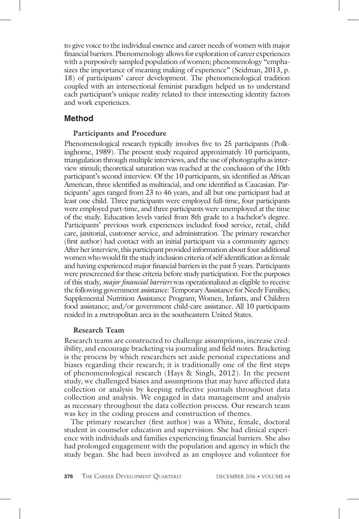to give voice to the individual essence and career needs of women with major financial barriers. Phenomenology allows for exploration of career experiences with a purposively sampled population of women; phenomenology "emphasizes the importance of meaning making of experience" (Seidman, 2013, p. 18) of participants' career development. The phenomenological tradition coupled with an intersectional feminist paradigm helped us to understand each participant's unique reality related to their intersecting identity factors and work experiences.

# **Method**

#### **Participants and Procedure**

Phenomenological research typically involves five to 25 participants (Polkinghorne, 1989). The present study required approximately 10 participants, triangulation through multiple interviews, and the use of photographs as interview stimuli; theoretical saturation was reached at the conclusion of the 10th participant's second interview. Of the 10 participants, six identified as African American, three identified as multiracial, and one identified as Caucasian. Participants' ages ranged from 23 to 46 years, and all but one participant had at least one child. Three participants were employed full-time, four participants were employed part-time, and three participants were unemployed at the time of the study. Education levels varied from 8th grade to a bachelor's degree. Participants' previous work experiences included food service, retail, child care, janitorial, customer service, and administration. The primary researcher (first author) had contact with an initial participant via a community agency. After her interview, this participant provided information about four additional women who would fit the study inclusion criteria of self-identification as female and having experienced major financial barriers in the past 5 years. Participants were prescreened for these criteria before study participation. For the purposes of this study, *major financial barriers* was operationalized as eligible to receive the following government assistance: Temporary Assistance for Needy Families; Supplemental Nutrition Assistance Program; Women, Infants, and Children food assistance; and/or government child-care assistance. All 10 participants resided in a metropolitan area in the southeastern United States.

#### **Research Team**

Research teams are constructed to challenge assumptions, increase credibility, and encourage bracketing via journaling and field notes. Bracketing is the process by which researchers set aside personal expectations and biases regarding their research; it is traditionally one of the first steps of phenomenological research (Hays & Singh, 2012). In the present study, we challenged biases and assumptions that may have affected data collection or analysis by keeping reflective journals throughout data collection and analysis. We engaged in data management and analysis as necessary throughout the data collection process. Our research team was key in the coding process and construction of themes.

The primary researcher (first author) was a White, female, doctoral student in counselor education and supervision. She had clinical experience with individuals and families experiencing financial barriers. She also had prolonged engagement with the population and agency in which the study began. She had been involved as an employee and volunteer for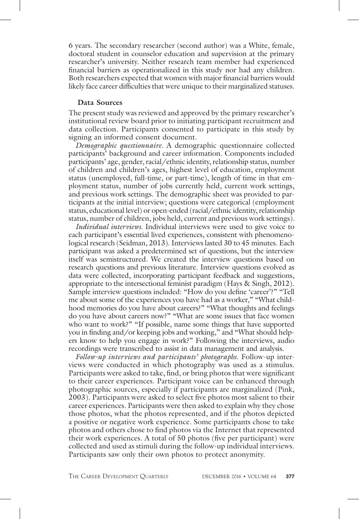6 years. The secondary researcher (second author) was a White, female, doctoral student in counselor education and supervision at the primary researcher's university. Neither research team member had experienced financial barriers as operationalized in this study nor had any children. Both researchers expected that women with major financial barriers would likely face career difficulties that were unique to their marginalized statuses.

#### **Data Sources**

The present study was reviewed and approved by the primary researcher's institutional review board prior to initiating participant recruitment and data collection. Participants consented to participate in this study by signing an informed consent document.

*Demographic questionnaire.* A demographic questionnaire collected participants' background and career information. Components included participants' age, gender, racial/ethnic identity, relationship status, number of children and children's ages, highest level of education, employment status (unemployed, full-time, or part-time), length of time in that employment status, number of jobs currently held, current work settings, and previous work settings. The demographic sheet was provided to participants at the initial interview; questions were categorical (employment status, educational level) or open-ended (racial/ethnic identity, relationship status, number of children, jobs held, current and previous work settings).

*Individual interviews.* Individual interviews were used to give voice to each participant's essential lived experiences, consistent with phenomenological research (Seidman, 2013). Interviews lasted 30 to 45 minutes. Each participant was asked a predetermined set of questions, but the interview itself was semistructured. We created the interview questions based on research questions and previous literature. Interview questions evolved as data were collected, incorporating participant feedback and suggestions, appropriate to the intersectional feminist paradigm (Hays & Singh, 2012). Sample interview questions included: "How do you define 'career'?" "Tell me about some of the experiences you have had as a worker," "What childhood memories do you have about careers?" "What thoughts and feelings do you have about careers now?" "What are some issues that face women who want to work?" "If possible, name some things that have supported you in finding and/or keeping jobs and working," and "What should helpers know to help you engage in work?" Following the interviews, audio recordings were transcribed to assist in data management and analysis.

*Follow-up interviews and participants' photographs.* Follow-up interviews were conducted in which photography was used as a stimulus. Participants were asked to take, find, or bring photos that were significant to their career experiences. Participant voice can be enhanced through photographic sources, especially if participants are marginalized (Pink, 2003). Participants were asked to select five photos most salient to their career experiences. Participants were then asked to explain why they chose those photos, what the photos represented, and if the photos depicted a positive or negative work experience. Some participants chose to take photos and others chose to find photos via the Internet that represented their work experiences. A total of 50 photos (five per participant) were collected and used as stimuli during the follow-up individual interviews. Participants saw only their own photos to protect anonymity.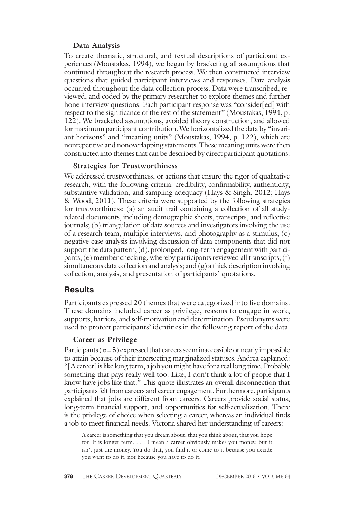#### **Data Analysis**

To create thematic, structural, and textual descriptions of participant experiences (Moustakas, 1994), we began by bracketing all assumptions that continued throughout the research process. We then constructed interview questions that guided participant interviews and responses. Data analysis occurred throughout the data collection process. Data were transcribed, reviewed, and coded by the primary researcher to explore themes and further hone interview questions. Each participant response was "consider[ed] with respect to the significance of the rest of the statement" (Moustakas, 1994, p. 122). We bracketed assumptions, avoided theory construction, and allowed for maximum participant contribution. We horizontalized the data by "invariant horizons" and "meaning units" (Moustakas, 1994, p. 122), which are nonrepetitive and nonoverlapping statements. These meaning units were then constructed into themes that can be described by direct participant quotations.

## **Strategies for Trustworthiness**

We addressed trustworthiness, or actions that ensure the rigor of qualitative research, with the following criteria: credibility, confirmability, authenticity, substantive validation, and sampling adequacy (Hays & Singh, 2012; Hays & Wood, 2011). These criteria were supported by the following strategies for trustworthiness: (a) an audit trail containing a collection of all studyrelated documents, including demographic sheets, transcripts, and reflective journals; (b) triangulation of data sources and investigators involving the use of a research team, multiple interviews, and photography as a stimulus; (c) negative case analysis involving discussion of data components that did not support the data pattern; (d), prolonged, long-term engagement with participants; (e) member checking, whereby participants reviewed all transcripts; (f) simultaneous data collection and analysis; and (g) a thick description involving collection, analysis, and presentation of participants' quotations.

# **Results**

Participants expressed 20 themes that were categorized into five domains. These domains included career as privilege, reasons to engage in work, supports, barriers, and self-motivation and determination. Pseudonyms were used to protect participants' identities in the following report of the data.

#### **Career as Privilege**

Participants (*n* = 5) expressed that careers seem inaccessible or nearly impossible to attain because of their intersecting marginalized statuses. Andrea explained: "[A career] is like long term, a job you might have for a real long time. Probably something that pays really well too. Like, I don't think a lot of people that I know have jobs like that." This quote illustrates an overall disconnection that participants felt from careers and career engagement. Furthermore, participants explained that jobs are different from careers. Careers provide social status, long-term financial support, and opportunities for self-actualization. There is the privilege of choice when selecting a career, whereas an individual finds a job to meet financial needs. Victoria shared her understanding of careers:

A career is something that you dream about, that you think about, that you hope for. It is longer term. . . . I mean a career obviously makes you money, but it isn't just the money. You do that, you find it or come to it because you decide you want to do it, not because you have to do it.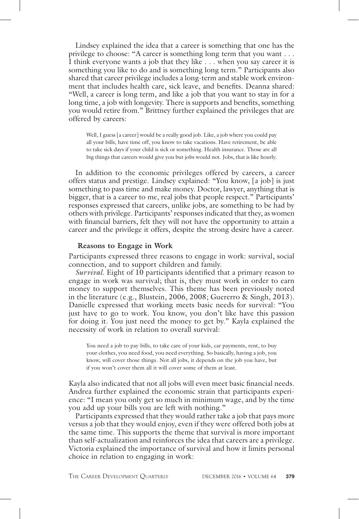Lindsey explained the idea that a career is something that one has the privilege to choose: "A career is something long term that you want . . . I think everyone wants a job that they like . . . when you say career it is something you like to do and is something long term." Participants also shared that career privilege includes a long-term and stable work environment that includes health care, sick leave, and benefits. Deanna shared: "Well, a career is long term, and like a job that you want to stay in for a long time, a job with longevity. There is supports and benefits, something you would retire from." Brittney further explained the privileges that are offered by careers:

Well, I guess [a career] would be a really good job. Like, a job where you could pay all your bills, have time off, you know to take vacations. Have retirement, be able to take sick days if your child is sick or something. Health insurance. Those are all big things that careers would give you but jobs would not. Jobs, that is like hourly.

In addition to the economic privileges offered by careers, a career offers status and prestige. Lindsey explained: "You know, [a job] is just something to pass time and make money. Doctor, lawyer, anything that is bigger, that is a career to me, real jobs that people respect." Participants' responses expressed that careers, unlike jobs, are something to be had by others with privilege. Participants' responses indicated that they, as women with financial barriers, felt they will not have the opportunity to attain a career and the privilege it offers, despite the strong desire have a career.

#### **Reasons to Engage in Work**

Participants expressed three reasons to engage in work: survival, social connection, and to support children and family.

*Survival.* Eight of 10 participants identified that a primary reason to engage in work was survival; that is, they must work in order to earn money to support themselves. This theme has been previously noted in the literature (e.g., Blustein, 2006, 2008; Guererro & Singh, 2013). Danielle expressed that working meets basic needs for survival: "You just have to go to work. You know, you don't like have this passion for doing it. You just need the money to get by." Kayla explained the necessity of work in relation to overall survival:

You need a job to pay bills, to take care of your kids, car payments, rent, to buy your clothes, you need food, you need everything. So basically, having a job, you know, will cover those things. Not all jobs, it depends on the job you have, but if you won't cover them all it will cover some of them at least.

Kayla also indicated that not all jobs will even meet basic financial needs. Andrea further explained the economic strain that participants experience: "I mean you only get so much in minimum wage, and by the time you add up your bills you are left with nothing."

Participants expressed that they would rather take a job that pays more versus a job that they would enjoy, even if they were offered both jobs at the same time. This supports the theme that survival is more important than self-actualization and reinforces the idea that careers are a privilege. Victoria explained the importance of survival and how it limits personal choice in relation to engaging in work: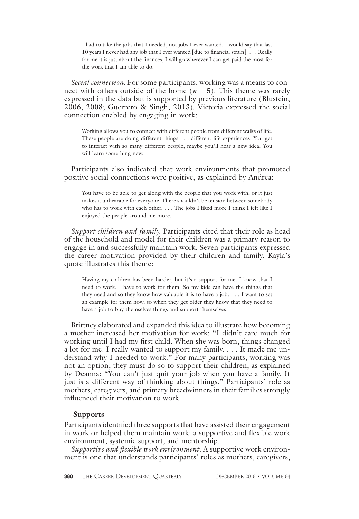I had to take the jobs that I needed, not jobs I ever wanted. I would say that last 10 years I never had any job that I ever wanted [due to financial strain]. . . . Really for me it is just about the finances, I will go wherever I can get paid the most for the work that I am able to do.

*Social connection.* For some participants, working was a means to connect with others outside of the home ( $n = 5$ ). This theme was rarely expressed in the data but is supported by previous literature (Blustein, 2006, 2008; Guerrero & Singh, 2013). Victoria expressed the social connection enabled by engaging in work:

Working allows you to connect with different people from different walks of life. These people are doing different things . . . different life experiences. You get to interact with so many different people, maybe you'll hear a new idea. You will learn something new.

Participants also indicated that work environments that promoted positive social connections were positive, as explained by Andrea:

You have to be able to get along with the people that you work with, or it just makes it unbearable for everyone. There shouldn't be tension between somebody who has to work with each other. . . . The jobs I liked more I think I felt like I enjoyed the people around me more.

*Support children and family.* Participants cited that their role as head of the household and model for their children was a primary reason to engage in and successfully maintain work. Seven participants expressed the career motivation provided by their children and family. Kayla's quote illustrates this theme:

Having my children has been harder, but it's a support for me. I know that I need to work. I have to work for them. So my kids can have the things that they need and so they know how valuable it is to have a job. . . . I want to set an example for them now, so when they get older they know that they need to have a job to buy themselves things and support themselves.

Brittney elaborated and expanded this idea to illustrate how becoming a mother increased her motivation for work: "I didn't care much for working until I had my first child. When she was born, things changed a lot for me. I really wanted to support my family. . . . It made me understand why I needed to work." For many participants, working was not an option; they must do so to support their children, as explained by Deanna: "You can't just quit your job when you have a family. It just is a different way of thinking about things." Participants' role as mothers, caregivers, and primary breadwinners in their families strongly influenced their motivation to work.

#### **Supports**

Participants identified three supports that have assisted their engagement in work or helped them maintain work: a supportive and flexible work environment, systemic support, and mentorship.

*Supportive and flexible work environment.* A supportive work environment is one that understands participants' roles as mothers, caregivers,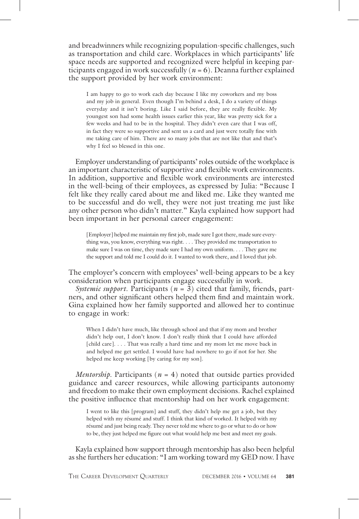and breadwinners while recognizing population-specific challenges, such as transportation and child care. Workplaces in which participants' life space needs are supported and recognized were helpful in keeping participants engaged in work successfully (*n* = 6). Deanna further explained the support provided by her work environment:

I am happy to go to work each day because I like my coworkers and my boss and my job in general. Even though I'm behind a desk, I do a variety of things everyday and it isn't boring. Like I said before, they are really flexible. My youngest son had some health issues earlier this year, like was pretty sick for a few weeks and had to be in the hospital. They didn't even care that I was off, in fact they were so supportive and sent us a card and just were totally fine with me taking care of him. There are so many jobs that are not like that and that's why I feel so blessed in this one.

Employer understanding of participants' roles outside of the workplace is an important characteristic of supportive and flexible work environments. In addition, supportive and flexible work environments are interested in the well-being of their employees, as expressed by Julia: "Because I felt like they really cared about me and liked me. Like they wanted me to be successful and do well, they were not just treating me just like any other person who didn't matter." Kayla explained how support had been important in her personal career engagement:

[Employer] helped me maintain my first job, made sure I got there, made sure everything was, you know, everything was right. . . . They provided me transportation to make sure I was on time, they made sure I had my own uniform. . . . They gave me the support and told me I could do it. I wanted to work there, and I loved that job.

The employer's concern with employees' well-being appears to be a key consideration when participants engage successfully in work.

*Systemic support.* Participants (*n* = 3) cited that family, friends, partners, and other significant others helped them find and maintain work. Gina explained how her family supported and allowed her to continue to engage in work:

When I didn't have much, like through school and that if my mom and brother didn't help out, I don't know. I don't really think that I could have afforded [child care].... That was really a hard time and my mom let me move back in and helped me get settled. I would have had nowhere to go if not for her. She helped me keep working [by caring for my son].

*Mentorship.* Participants ( $n = 4$ ) noted that outside parties provided guidance and career resources, while allowing participants autonomy and freedom to make their own employment decisions. Rachel explained the positive influence that mentorship had on her work engagement:

I went to like this [program] and stuff, they didn't help me get a job, but they helped with my résumé and stuff. I think that kind of worked. It helped with my résumé and just being ready. They never told me where to go or what to do or how to be, they just helped me figure out what would help me best and meet my goals.

Kayla explained how support through mentorship has also been helpful as she furthers her education: "I am working toward my GED now. I have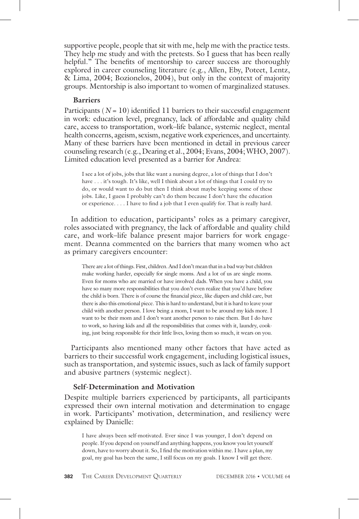supportive people, people that sit with me, help me with the practice tests. They help me study and with the pretests. So I guess that has been really helpful." The benefits of mentorship to career success are thoroughly explored in career counseling literature (e.g., Allen, Eby, Poteet, Lentz, & Lima, 2004; Bozionelos, 2004), but only in the context of majority groups. Mentorship is also important to women of marginalized statuses.

#### **Barriers**

Participants ( $N = 10$ ) identified 11 barriers to their successful engagement in work: education level, pregnancy, lack of affordable and quality child care, access to transportation, work–life balance, systemic neglect, mental health concerns, ageism, sexism, negative work experiences, and uncertainty. Many of these barriers have been mentioned in detail in previous career counseling research (e.g., Dearing et al., 2004; Evans, 2004; WHO, 2007). Limited education level presented as a barrier for Andrea:

I see a lot of jobs, jobs that like want a nursing degree, a lot of things that I don't have . . . it's tough. It's like, well I think about a lot of things that I could try to do, or would want to do but then I think about maybe keeping some of these jobs. Like, I guess I probably can't do them because I don't have the education or experience. . . . I have to find a job that I even qualify for. That is really hard.

In addition to education, participants' roles as a primary caregiver, roles associated with pregnancy, the lack of affordable and quality child care, and work–life balance present major barriers for work engagement. Deanna commented on the barriers that many women who act as primary caregivers encounter:

There are a lot of things. First, children. And I don't mean that in a bad way but children make working harder, especially for single moms. And a lot of us are single moms. Even for moms who are married or have involved dads. When you have a child, you have so many more responsibilities that you don't even realize that you'd have before the child is born. There is of course the financial piece, like diapers and child care, but there is also this emotional piece. This is hard to understand, but it is hard to leave your child with another person. I love being a mom, I want to be around my kids more. I want to be their mom and I don't want another person to raise them. But I do have to work, so having kids and all the responsibilities that comes with it, laundry, cooking, just being responsible for their little lives, loving them so much, it wears on you.

Participants also mentioned many other factors that have acted as barriers to their successful work engagement, including logistical issues, such as transportation, and systemic issues, such as lack of family support and abusive partners (systemic neglect).

#### **Self-Determination and Motivation**

Despite multiple barriers experienced by participants, all participants expressed their own internal motivation and determination to engage in work. Participants' motivation, determination, and resiliency were explained by Danielle:

I have always been self-motivated. Ever since I was younger, I don't depend on people. If you depend on yourself and anything happens, you know you let yourself down, have to worry about it. So, I find the motivation within me. I have a plan, my goal, my goal has been the same, I still focus on my goals. I know I will get there.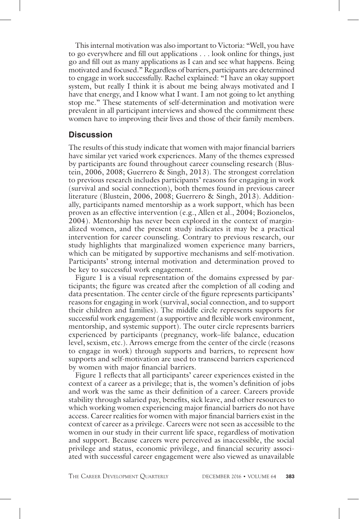This internal motivation was also important to Victoria: "Well, you have to go everywhere and fill out applications . . . look online for things, just go and fill out as many applications as I can and see what happens. Being motivated and focused." Regardless of barriers, participants are determined to engage in work successfully. Rachel explained: "I have an okay support system, but really I think it is about me being always motivated and I have that energy, and I know what I want. I am not going to let anything stop me." These statements of self-determination and motivation were prevalent in all participant interviews and showed the commitment these women have to improving their lives and those of their family members.

## **Discussion**

The results of this study indicate that women with major financial barriers have similar yet varied work experiences. Many of the themes expressed by participants are found throughout career counseling research (Blustein, 2006, 2008; Guerrero & Singh, 2013). The strongest correlation to previous research includes participants' reasons for engaging in work (survival and social connection), both themes found in previous career literature (Blustein, 2006, 2008; Guerrero & Singh, 2013). Additionally, participants named mentorship as a work support, which has been proven as an effective intervention (e.g., Allen et al., 2004; Bozionelos, 2004). Mentorship has never been explored in the context of marginalized women, and the present study indicates it may be a practical intervention for career counseling. Contrary to previous research, our study highlights that marginalized women experience many barriers, which can be mitigated by supportive mechanisms and self-motivation. Participants' strong internal motivation and determination proved to be key to successful work engagement.

Figure 1 is a visual representation of the domains expressed by participants; the figure was created after the completion of all coding and data presentation. The center circle of the figure represents participants' reasons for engaging in work (survival, social connection, and to support their children and families). The middle circle represents supports for successful work engagement (a supportive and flexible work environment, mentorship, and systemic support). The outer circle represents barriers experienced by participants (pregnancy, work–life balance, education level, sexism, etc.). Arrows emerge from the center of the circle (reasons to engage in work) through supports and barriers, to represent how supports and self-motivation are used to transcend barriers experienced by women with major financial barriers.

Figure 1 reflects that all participants' career experiences existed in the context of a career as a privilege; that is, the women's definition of jobs and work was the same as their definition of a career. Careers provide stability through salaried pay, benefits, sick leave, and other resources to which working women experiencing major financial barriers do not have access. Career realities for women with major financial barriers exist in the context of career as a privilege. Careers were not seen as accessible to the women in our study in their current life space, regardless of motivation and support. Because careers were perceived as inaccessible, the social privilege and status, economic privilege, and financial security associated with successful career engagement were also viewed as unavailable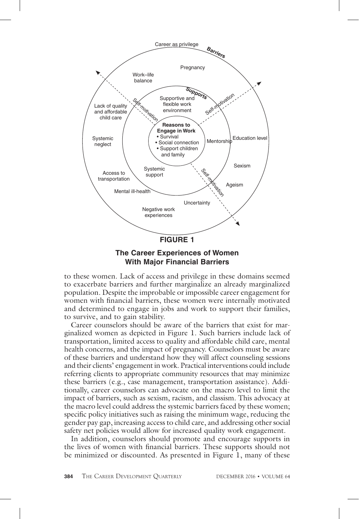

**With Major Financial Barriers** 

to these women. Lack of access and privilege in these domains seemed to exacerbate barriers and further marginalize an already marginalized population. Despite the improbable or impossible career engagement for women with financial barriers, these women were internally motivated and determined to engage in jobs and work to support their families, to survive, and to gain stability.

Career counselors should be aware of the barriers that exist for marginalized women as depicted in Figure 1. Such barriers include lack of transportation, limited access to quality and affordable child care, mental health concerns, and the impact of pregnancy. Counselors must be aware of these barriers and understand how they will affect counseling sessions and their clients' engagement in work. Practical interventions could include referring clients to appropriate community resources that may minimize these barriers (e.g., case management, transportation assistance). Additionally, career counselors can advocate on the macro level to limit the impact of barriers, such as sexism, racism, and classism. This advocacy at the macro level could address the systemic barriers faced by these women; specific policy initiatives such as raising the minimum wage, reducing the gender pay gap, increasing access to child care, and addressing other social safety net policies would allow for increased quality work engagement.

In addition, counselors should promote and encourage supports in the lives of women with financial barriers. These supports should not be minimized or discounted. As presented in Figure 1, many of these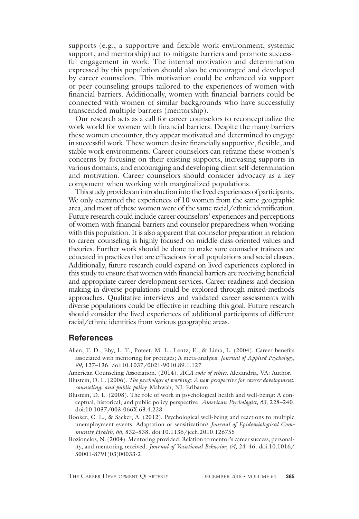supports (e.g., a supportive and flexible work environment, systemic support, and mentorship) act to mitigate barriers and promote successful engagement in work. The internal motivation and determination expressed by this population should also be encouraged and developed by career counselors. This motivation could be enhanced via support or peer counseling groups tailored to the experiences of women with financial barriers. Additionally, women with financial barriers could be connected with women of similar backgrounds who have successfully transcended multiple barriers (mentorship).

Our research acts as a call for career counselors to reconceptualize the work world for women with financial barriers. Despite the many barriers these women encounter, they appear motivated and determined to engage in successful work. These women desire financially supportive, flexible, and stable work environments. Career counselors can reframe these women's concerns by focusing on their existing supports, increasing supports in various domains, and encouraging and developing client self-determination and motivation. Career counselors should consider advocacy as a key component when working with marginalized populations.

This study provides an introduction into the lived experiences of participants. We only examined the experiences of 10 women from the same geographic area, and most of these women were of the same racial/ethnic identification. Future research could include career counselors' experiences and perceptions of women with financial barriers and counselor preparedness when working with this population. It is also apparent that counselor preparation in relation to career counseling is highly focused on middle-class-oriented values and theories. Further work should be done to make sure counselor trainees are educated in practices that are efficacious for all populations and social classes. Additionally, future research could expand on lived experiences explored in this study to ensure that women with financial barriers are receiving beneficial and appropriate career development services. Career readiness and decision making in diverse populations could be explored through mixed-methods approaches. Qualitative interviews and validated career assessments with diverse populations could be effective in reaching this goal. Future research should consider the lived experiences of additional participants of different racial/ethnic identities from various geographic areas.

### **References**

Allen, T. D., Eby, L. T., Poteet, M. L., Lentz, E., & Lima, L. (2004). Career benefits associated with mentoring for protégés; A meta-analysis. *Journal of Applied Psychology, 89,* 127–136. doi:10.1037/0021-9010.89.1.127

American Counseling Association. (2014). *ACA code of ethics.* Alexandria, VA: Author.

- Blustein, D. L. (2006). *The psychology of working: A new perspective for career development, counseling, and public policy.* Mahwah, NJ: Erlbaum.
- Blustein, D. L. (2008). The role of work in psychological health and well-being: A conceptual, historical, and public policy perspective. *American Psychologist, 63,* 228–240. doi:10.1037/003-066X.63.4.228
- Booker, C. L., & Sacker, A. (2012). Psychological well-being and reactions to multiple unemployment events: Adaptation or sensitization? *Journal of Epidemiological Community Health, 66,* 832–838. doi:10.1136/jech.2010.126755
- Bozionelos, N. (2004). Mentoring provided: Relation to mentor's career success, personality, and mentoring received. *Journal of Vocational Behavior, 64,* 24–46. doi:10.1016/ S0001-8791(03)00033-2